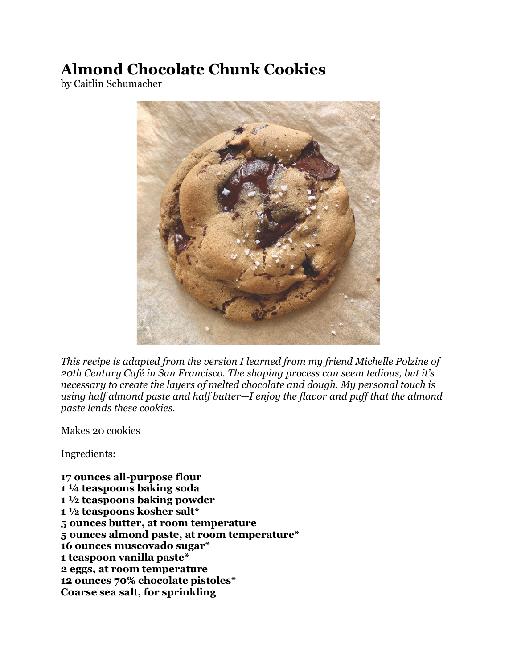## **Almond Chocolate Chunk Cookies**

by Caitlin Schumacher



*This recipe is adapted from the version I learned from my friend Michelle Polzine of 20th Century Café in San Francisco. The shaping process can seem tedious, but it's necessary to create the layers of melted chocolate and dough. My personal touch is using half almond paste and half butter—I enjoy the flavor and puff that the almond paste lends these cookies.*

Makes 20 cookies

Ingredients:

**17 ounces all-purpose flour 1 ¼ teaspoons baking soda 1 ½ teaspoons baking powder 1 ½ teaspoons kosher salt\* 5 ounces butter, at room temperature 5 ounces almond paste, at room temperature\* 16 ounces muscovado sugar\* 1 teaspoon vanilla paste\* 2 eggs, at room temperature 12 ounces 70% chocolate pistoles\* Coarse sea salt, for sprinkling**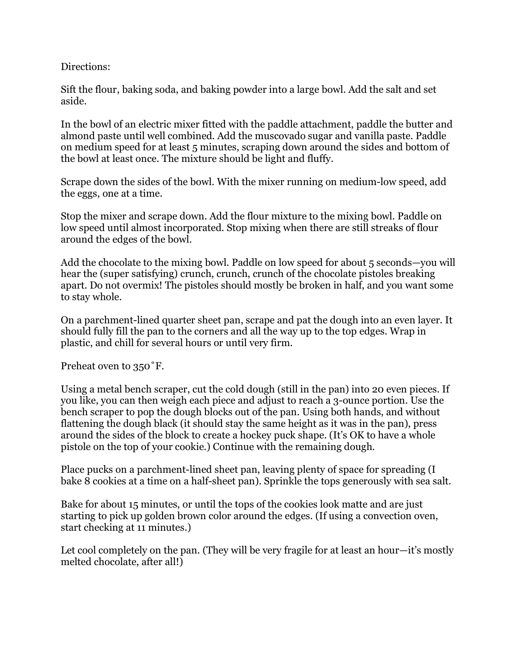Directions:

Sift the flour, baking soda, and baking powder into a large bowl. Add the salt and set aside.

In the bowl of an electric mixer fitted with the paddle attachment, paddle the butter and almond paste until well combined. Add the muscovado sugar and vanilla paste. Paddle on medium speed for at least 5 minutes, scraping down around the sides and bottom of the bowl at least once. The mixture should be light and fluffy.

Scrape down the sides of the bowl. With the mixer running on medium-low speed, add the eggs, one at a time.

Stop the mixer and scrape down. Add the flour mixture to the mixing bowl. Paddle on low speed until almost incorporated. Stop mixing when there are still streaks of flour around the edges of the bowl.

Add the chocolate to the mixing bowl. Paddle on low speed for about 5 seconds—you will hear the (super satisfying) crunch, crunch, crunch of the chocolate pistoles breaking apart. Do not overmix! The pistoles should mostly be broken in half, and you want some to stay whole.

On a parchment-lined quarter sheet pan, scrape and pat the dough into an even layer. It should fully fill the pan to the corners and all the way up to the top edges. Wrap in plastic, and chill for several hours or until very firm.

Preheat oven to 350˚F.

Using a metal bench scraper, cut the cold dough (still in the pan) into 20 even pieces. If you like, you can then weigh each piece and adjust to reach a 3-ounce portion. Use the bench scraper to pop the dough blocks out of the pan. Using both hands, and without flattening the dough black (it should stay the same height as it was in the pan), press around the sides of the block to create a hockey puck shape. (It's OK to have a whole pistole on the top of your cookie.) Continue with the remaining dough.

Place pucks on a parchment-lined sheet pan, leaving plenty of space for spreading (I bake 8 cookies at a time on a half-sheet pan). Sprinkle the tops generously with sea salt.

Bake for about 15 minutes, or until the tops of the cookies look matte and are just starting to pick up golden brown color around the edges. (If using a convection oven, start checking at 11 minutes.)

Let cool completely on the pan. (They will be very fragile for at least an hour—it's mostly melted chocolate, after all!)